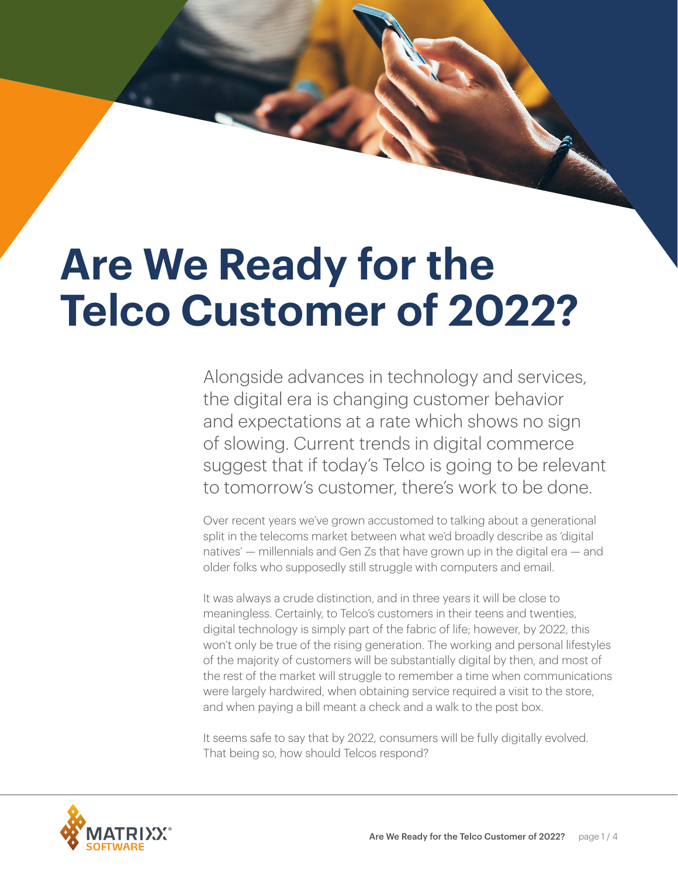# **Are We Ready for the Telco Customer of 2022?**

Alongside advances in technology and services, the digital era is changing customer behavior and expectations at a rate which shows no sign of slowing. Current trends in digital commerce suggest that if today's Telco is going to be relevant to tomorrow's customer, there's work to be done.

Over recent years we've grown accustomed to talking about a generational split in the telecoms market between what we'd broadly describe as 'digital natives' — millennials and Gen Zs that have grown up in the digital era — and older folks who supposedly still struggle with computers and email.

It was always a crude distinction, and in three years it will be close to meaningless. Certainly, to Telco's customers in their teens and twenties, digital technology is simply part of the fabric of life; however, by 2022, this won't only be true of the rising generation. The working and personal lifestyles of the majority of customers will be substantially digital by then, and most of the rest of the market will struggle to remember a time when communications were largely hardwired, when obtaining service required a visit to the store, and when paying a bill meant a check and a walk to the post box.

It seems safe to say that by 2022, consumers will be fully digitally evolved. That being so, how should Telcos respond?

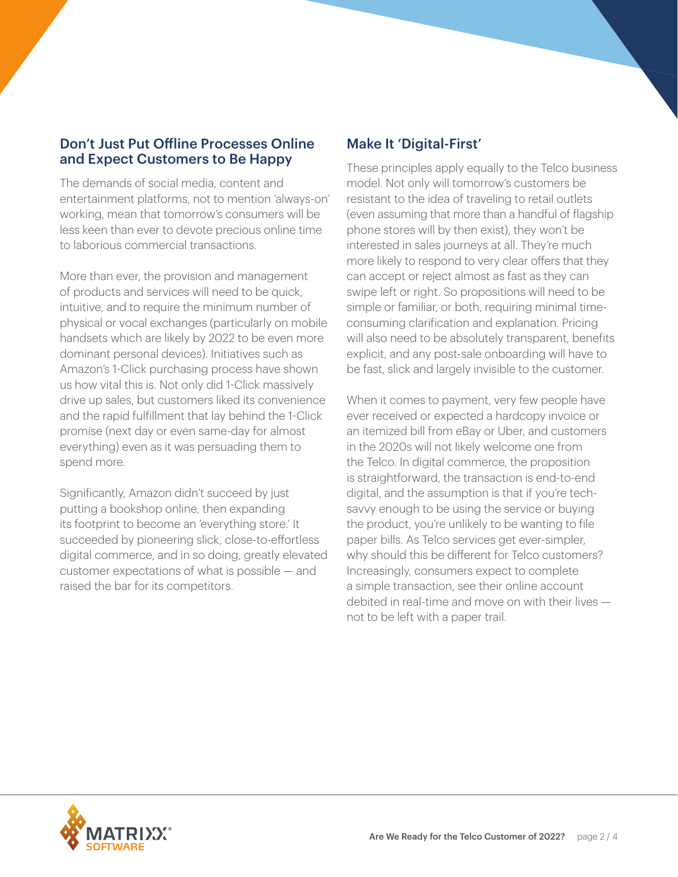### Don't Just Put Offline Processes Online and Expect Customers to Be Happy

The demands of social media, content and entertainment platforms, not to mention 'always-on' working, mean that tomorrow's consumers will be less keen than ever to devote precious online time to laborious commercial transactions.

More than ever, the provision and management of products and services will need to be quick, intuitive, and to require the minimum number of physical or vocal exchanges (particularly on mobile handsets which are likely by 2022 to be even more dominant personal devices). Initiatives such as Amazon's 1-Click purchasing process have shown us how vital this is. Not only did 1-Click massively drive up sales, but customers liked its convenience and the rapid fulfillment that lay behind the 1-Click promise (next day or even same-day for almost everything) even as it was persuading them to spend more.

Significantly, Amazon didn't succeed by just putting a bookshop online, then expanding its footprint to become an 'everything store.' It succeeded by pioneering slick, close-to-effortless digital commerce, and in so doing, greatly elevated customer expectations of what is possible — and raised the bar for its competitors.

## Make It 'Digital-First'

These principles apply equally to the Telco business model. Not only will tomorrow's customers be resistant to the idea of traveling to retail outlets (even assuming that more than a handful of flagship phone stores will by then exist), they won't be interested in sales journeys at all. They're much more likely to respond to very clear offers that they can accept or reject almost as fast as they can swipe left or right. So propositions will need to be simple or familiar, or both, requiring minimal timeconsuming clarification and explanation. Pricing will also need to be absolutely transparent, benefits explicit, and any post-sale onboarding will have to be fast, slick and largely invisible to the customer.

When it comes to payment, very few people have ever received or expected a hardcopy invoice or an itemized bill from eBay or Uber, and customers in the 2020s will not likely welcome one from the Telco. In digital commerce, the proposition is straightforward, the transaction is end-to-end digital, and the assumption is that if you're techsavvy enough to be using the service or buying the product, you're unlikely to be wanting to file paper bills. As Telco services get ever-simpler, why should this be different for Telco customers? Increasingly, consumers expect to complete a simple transaction, see their online account debited in real-time and move on with their lives not to be left with a paper trail.

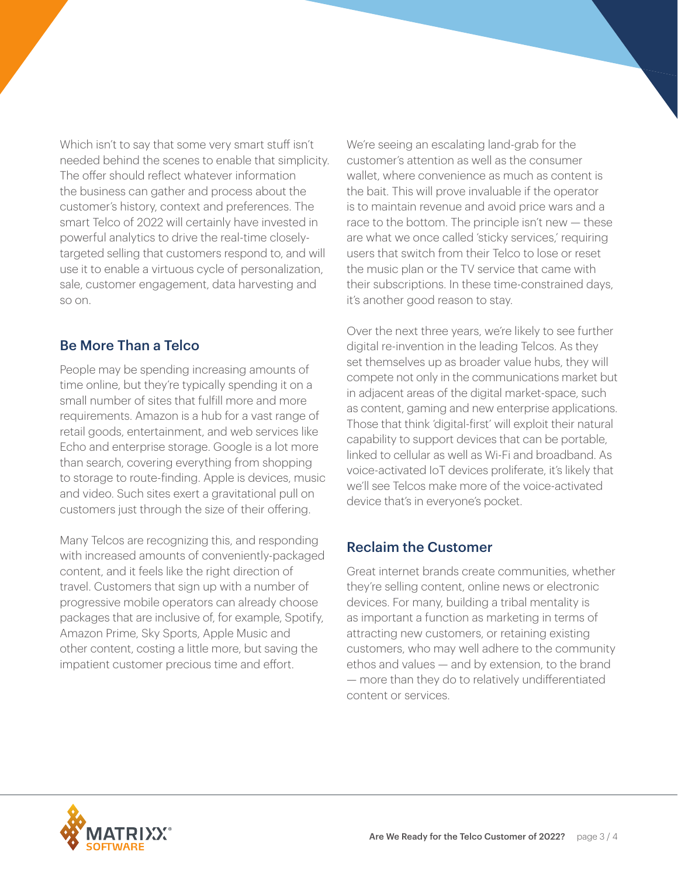Which isn't to say that some very smart stuff isn't needed behind the scenes to enable that simplicity. The offer should reflect whatever information the business can gather and process about the customer's history, context and preferences. The smart Telco of 2022 will certainly have invested in powerful analytics to drive the real-time closelytargeted selling that customers respond to, and will use it to enable a virtuous cycle of personalization, sale, customer engagement, data harvesting and so on.

# Be More Than a Telco

People may be spending increasing amounts of time online, but they're typically spending it on a small number of sites that fulfill more and more requirements. Amazon is a hub for a vast range of retail goods, entertainment, and web services like Echo and enterprise storage. Google is a lot more than search, covering everything from shopping to storage to route-finding. Apple is devices, music and video. Such sites exert a gravitational pull on customers just through the size of their offering.

Many Telcos are recognizing this, and responding with increased amounts of conveniently-packaged content, and it feels like the right direction of travel. Customers that sign up with a number of progressive mobile operators can already choose packages that are inclusive of, for example, Spotify, Amazon Prime, Sky Sports, Apple Music and other content, costing a little more, but saving the impatient customer precious time and effort.

We're seeing an escalating land-grab for the customer's attention as well as the consumer wallet, where convenience as much as content is the bait. This will prove invaluable if the operator is to maintain revenue and avoid price wars and a race to the bottom. The principle isn't new — these are what we once called 'sticky services,' requiring users that switch from their Telco to lose or reset the music plan or the TV service that came with their subscriptions. In these time-constrained days, it's another good reason to stay.

Over the next three years, we're likely to see further digital re-invention in the leading Telcos. As they set themselves up as broader value hubs, they will compete not only in the communications market but in adjacent areas of the digital market-space, such as content, gaming and new enterprise applications. Those that think 'digital-first' will exploit their natural capability to support devices that can be portable, linked to cellular as well as Wi-Fi and broadband. As voice-activated IoT devices proliferate, it's likely that we'll see Telcos make more of the voice-activated device that's in everyone's pocket.

### Reclaim the Customer

Great internet brands create communities, whether they're selling content, online news or electronic devices. For many, building a tribal mentality is as important a function as marketing in terms of attracting new customers, or retaining existing customers, who may well adhere to the community ethos and values — and by extension, to the brand — more than they do to relatively undifferentiated content or services.